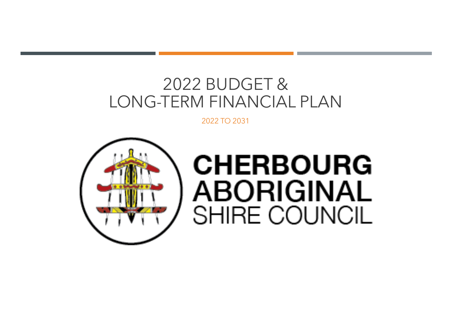# 2022 BUDGET & LONG-TERM FINANCIAL PLAN

2022 TO 2031



# **CHERBOURG ABORIGINAL** SHIRE COUNCIL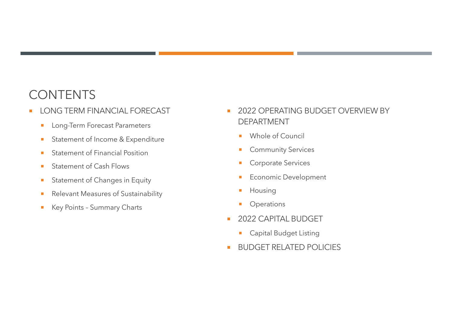### **CONTENTS**

- **LONG TERM FINANCIAL FORECAST** 
	- **E** Long-Term Forecast Parameters
	- Statement of Income & Expenditure
	- Statement of Financial Position
	- **E** Statement of Cash Flows
	- **EXECUTE:** Statement of Changes in Equity
	- Relevant Measures of Sustainability
	- **EXEGY Points Summary Charts**
- **2022 OPERATING BUDGET OVERVIEW BY** DEPARTMENT
	- ¡ Whole of Council
	- **Community Services**
	- Corporate Services
	- **Economic Development**
	- **•** Housing
	- Operations
- **2022 CAPITAL BUDGET** 
	- **Capital Budget Listing**
- **E** BUDGET RELATED POLICIES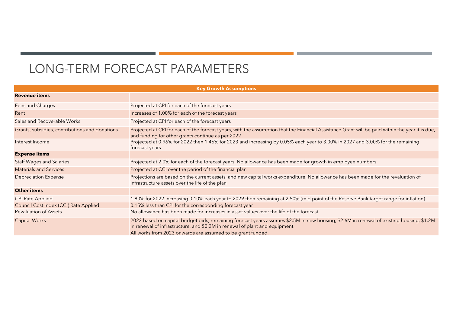# LONG-TERM FORECAST PARAMETERS

| <b>Key Growth Assumptions</b>                  |                                                                                                                                                                                                                                                                                        |  |  |  |  |  |  |  |
|------------------------------------------------|----------------------------------------------------------------------------------------------------------------------------------------------------------------------------------------------------------------------------------------------------------------------------------------|--|--|--|--|--|--|--|
| <b>Revenue items</b>                           |                                                                                                                                                                                                                                                                                        |  |  |  |  |  |  |  |
| Fees and Charges                               | Projected at CPI for each of the forecast years                                                                                                                                                                                                                                        |  |  |  |  |  |  |  |
| Rent                                           | Increases of 1.00% for each of the forecast years                                                                                                                                                                                                                                      |  |  |  |  |  |  |  |
| Sales and Recoverable Works                    | Projected at CPI for each of the forecast years                                                                                                                                                                                                                                        |  |  |  |  |  |  |  |
| Grants, subsidies, contributions and donations | Projected at CPI for each of the forecast years, with the assumption that the Financial Assistance Grant will be paid within the year it is due,<br>and funding for other grants continue as per 2022                                                                                  |  |  |  |  |  |  |  |
| Interest Income                                | Projected at 0.96% for 2022 then 1.46% for 2023 and increasing by 0.05% each year to 3.00% in 2027 and 3.00% for the remaining<br>forecast years                                                                                                                                       |  |  |  |  |  |  |  |
| <b>Expense items</b>                           |                                                                                                                                                                                                                                                                                        |  |  |  |  |  |  |  |
| <b>Staff Wages and Salaries</b>                | Projected at 2.0% for each of the forecast years. No allowance has been made for growth in employee numbers                                                                                                                                                                            |  |  |  |  |  |  |  |
| <b>Materials and Services</b>                  | Projected at CCI over the period of the financial plan                                                                                                                                                                                                                                 |  |  |  |  |  |  |  |
| <b>Depreciation Expense</b>                    | Projections are based on the current assets, and new capital works expenditure. No allowance has been made for the revaluation of<br>infrastructure assets over the life of the plan                                                                                                   |  |  |  |  |  |  |  |
| <b>Other items</b>                             |                                                                                                                                                                                                                                                                                        |  |  |  |  |  |  |  |
| <b>CPI Rate Applied</b>                        | 1.80% for 2022 increasing 0.10% each year to 2029 then remaining at 2.50% (mid point of the Reserve Bank target range for inflation)                                                                                                                                                   |  |  |  |  |  |  |  |
| Council Cost Index (CCI) Rate Applied          | 0.15% less than CPI for the corresponding forecast year                                                                                                                                                                                                                                |  |  |  |  |  |  |  |
| <b>Revaluation of Assets</b>                   | No allowance has been made for increases in asset values over the life of the forecast                                                                                                                                                                                                 |  |  |  |  |  |  |  |
| <b>Capital Works</b>                           | 2022 based on capital budget bids, remaining forecast years assumes \$2.5M in new housing, \$2.6M in renewal of existing housing, \$1.2M<br>in renewal of infrastructure, and \$0.2M in renewal of plant and equipment.<br>All works from 2023 onwards are assumed to be grant funded. |  |  |  |  |  |  |  |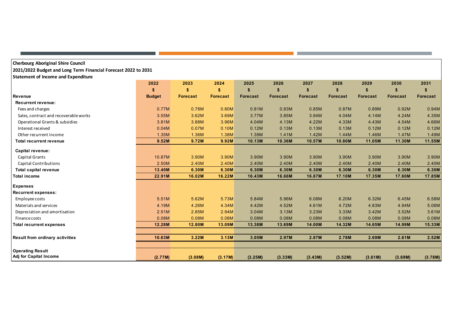| <b>Cherbourg Aboriginal Shire Council</b><br>2021/2022 Budget and Long Term Financial Forecast 2022 to 2031 |               |                 |                 |                 |                 |                 |                 |                 |                 |                 |
|-------------------------------------------------------------------------------------------------------------|---------------|-----------------|-----------------|-----------------|-----------------|-----------------|-----------------|-----------------|-----------------|-----------------|
| Statement of Income and Expenditure                                                                         |               |                 |                 |                 |                 |                 |                 |                 |                 |                 |
|                                                                                                             | 2022          | 2023            | 2024            | 2025            | 2026            | 2027            | 2028            | 2029            | 2030            | 2031            |
|                                                                                                             | \$            | S               | \$              | \$              | \$              | \$              |                 | \$              | \$              | \$              |
| Revenue                                                                                                     | <b>Budget</b> | <b>Forecast</b> | <b>Forecast</b> | <b>Forecast</b> | <b>Forecast</b> | <b>Forecast</b> | <b>Forecast</b> | <b>Forecast</b> | <b>Forecast</b> | <b>Forecast</b> |
| <b>Recurrent revenue:</b>                                                                                   |               |                 |                 |                 |                 |                 |                 |                 |                 |                 |
| Fees and charges                                                                                            | 0.77M         | 0.78M           | 0.80M           | 0.81M           | 0.83M           | 0.85M           | 0.87M           | 0.89M           | 0.92M           | 0.94M           |
| Sales, contract and recoverable works                                                                       | 3.55M         | 3.62M           | 3.69M           | 3.77M           | 3.85M           | 3.94M           | 4.04M           | 4.14M           | 4.24M           | 4.35M           |
| Operational Grants & subsidies                                                                              | 3.81M         | 3.88M           | 3.96M           | 4.04M           | 4.13M           | 4.22M           | 4.33M           | 4.43M           | 4.54M           | 4.66M           |
| Interest received                                                                                           | 0.04M         | 0.07M           | 0.10M           | 0.12M           | 0.13M           | 0.13M           | 0.13M           | 0.12M           | 0.12M           | 0.12M           |
| Other recurrent income                                                                                      | 1.35M         | 1.36M           | 1.38M           | 1.39M           | 1.41M           | 1.42M           | 1.44M           | 1.46M           | 1.47M           | 1.49M           |
| <b>Total recurrent revenue</b>                                                                              | 9.52M         | 9.72M           | 9.92M           | 10.13M          | 10.36M          | 10.57M          | 10.80M          | 11.05M          | 11.30M          | 11.55M          |
| Capital revenue:                                                                                            |               |                 |                 |                 |                 |                 |                 |                 |                 |                 |
| <b>Capital Grants</b>                                                                                       | 10.87M        | 3.90M           | 3.90M           | 3.90M           | 3.90M           | 3.90M           | 3.90M           | 3.90M           | 3.90M           | 3.90M           |
| <b>Capital Contributions</b>                                                                                | 2.50M         | 2.40M           | 2.40M           | 2.40M           | 2.40M           | 2.40M           | 2.40M           | 2.40M           | 2.40M           | 2.40M           |
| <b>Total capital revenue</b>                                                                                | 13.40M        | 6.30M           | 6.30M           | 6.30M           | 6.30M           | 6.30M           | 6.30M           | 6.30M           | 6.30M           | 6.30M           |
| <b>Total income</b>                                                                                         | 22.91M        | 16.02M          | 16.22M          | 16.43M          | 16.66M          | 16.87M          | 17.10M          | 17.35M          | 17.60M          | 17.85M          |
| <b>Expenses</b>                                                                                             |               |                 |                 |                 |                 |                 |                 |                 |                 |                 |
| <b>Recurrent expenses:</b>                                                                                  |               |                 |                 |                 |                 |                 |                 |                 |                 |                 |
| Employee costs                                                                                              | 5.51M         | 5.62M           | 5.73M           | 5.84M           | 5.96M           | 6.08M           | 6.20M           | 6.32M           | 6.45M           | 6.58M           |
| Materials and services                                                                                      | 4.19M         | 4.26M           | 4.34M           | 4.42M           | 4.52M           | 4.61M           | 4.72M           | 4.83M           | 4.94M           | 5.06M           |
| Depreciation and amortisation                                                                               | 2.51M         | 2.85M           | 2.94M           | 3.04M           | 3.13M           | 3.23M           | 3.33M           | 3.42M           | 3.52M           | 3.61M           |
| Finance costs                                                                                               | 0.08M         | 0.08M           | 0.08M           | 0.08M           | 0.08M           | 0.08M           | 0.08M           | 0.08M           | 0.08M           | 0.08M           |
| <b>Total recurrent expenses</b>                                                                             | 12.28M        | 12.80M          | 13.09M          | 13.38M          | 13.69M          | 14.00M          | 14.32M          | 14.65M          | 14.99M          | 15.33M          |
| <b>Result from ordinary activities</b>                                                                      | 10.63M        | 3.22M           | 3.13M           | 3.05M           | 2.97M           | 2.87M           | 2.78M           | 2.69M           | 2.61M           | 2.52M           |
|                                                                                                             |               |                 |                 |                 |                 |                 |                 |                 |                 |                 |
| <b>Operating Result</b>                                                                                     |               |                 |                 |                 |                 |                 |                 |                 |                 |                 |
| Adj for Capital Income                                                                                      | (2.77M)       | (3.08M)         | (3.17M)         | (3.25M)         | (3.33M)         | (3.43M)         | (3.52M)         | (3.61M)         | (3.69M)         | (3.78M)         |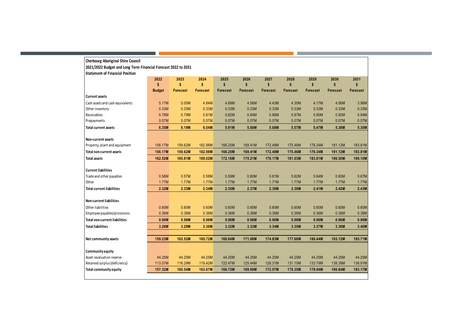| <b>Cherbourg Aboriginal Shire Council</b>                      |               |                 |                 |                 |                 |                 |                 |                 |                 |                 |
|----------------------------------------------------------------|---------------|-----------------|-----------------|-----------------|-----------------|-----------------|-----------------|-----------------|-----------------|-----------------|
| 2021/2022 Budget and Long Term Financial Forecast 2022 to 2031 |               |                 |                 |                 |                 |                 |                 |                 |                 |                 |
| <b>Statement of Financial Position</b>                         |               |                 |                 |                 |                 |                 |                 |                 |                 |                 |
|                                                                | 2022          | 2023            | 2024            | 2025            | 2026            | 2027            | 2028            | 2029            | 2030            | 2031            |
|                                                                | \$            | \$              | \$              | \$              | $\mathsf{s}$    | $\mathbf{s}$    | \$              | \$              | \$              | s               |
|                                                                | <b>Budget</b> | <b>Forecast</b> | <b>Forecast</b> | <b>Forecast</b> | <b>Forecast</b> | <b>Forecast</b> | <b>Forecast</b> | <b>Forecast</b> | <b>Forecast</b> | <b>Forecast</b> |
| <b>Current assets</b>                                          |               |                 |                 |                 |                 |                 |                 |                 |                 |                 |
| Cash assets and cash equivalents                               | 5.17M         | 5.00M           | 4.84M           | 4.69M           | 4.56M           | 4.43M           | 4.30M           | 4.17M           | 4.06M           | 3.96M           |
| Other inventory                                                | 0.33M         | 0.33M           | 0.33M           | 0.33M           | 0.33M           | 0.33M           | 0.33M           | 0.33M           | 0.33M           | 0.33M           |
| Receivables                                                    | 0.78M         | 0.79M           | 0.81M           | 0.82M           | 0.84M           | 0.86M           | 0.87M           | 0.90M           | 0.92M           | 0.94M           |
| Prepayments                                                    | 0.07M         | 0.07M           | 0.07M           | 0.07M           | 0.07M           | 0.07M           | 0.07M           | 0.07M           | 0.07M           | 0.07M           |
| <b>Total current assets</b>                                    | 6.35M         | 6.19M           | 6.04M           | 5.91M           | 5.80M           | 5.68M           | 5.57M           | 5.47M           | 5.38M           | 5.30M           |
| Non-current assets                                             |               |                 |                 |                 |                 |                 |                 |                 |                 |                 |
| Property, plant and equipment                                  | 156.17M       | 159.62M         | 162.98M         | 166.25M         | 169.41M         | 172.48M         | 175.46M         | 178.34M         | 181.12M         | 183.81M         |
| <b>Total non-current assets</b>                                | 156.17M       | 159.62M         | 162.98M         | 166.25M         | 169.41M         | 172.48M         | 175.46M         | 178.34M         | 181.12M         | 183.81M         |
| <b>Total assets</b>                                            | 162.52M       | 165.81M         | 169.02M         | 172.16M         | 175.21M         | 178.17M         | 181.03M         | 183.81M         | 186.50M         | 189.10M         |
|                                                                |               |                 |                 |                 |                 |                 |                 |                 |                 |                 |
| <b>Current liabilities</b>                                     |               |                 |                 |                 |                 |                 |                 |                 |                 |                 |
| Trade and other payables                                       | 0.56M         | 0.57M           | 0.58M           | 0.59M           | 0.60M           | 0.61M           | 0.62M           | 0.64M           | 0.65M           | 0.67M           |
| Other                                                          | 1.77M         | 1.77M           | 1.77M           | 1.77M           | 1.77M           | 1.77M           | 1.77M           | 1.77M           | 1.77M           | 1.77M           |
| <b>Total current liabilities</b>                               | 2.32M         | 2.33M           | 2.34M           | 2.35M           | 2.37M           | 2.38M           | 2.39M           | 2.41M           | 2.42M           | 2.43M           |
| <b>Non-current liabilities</b>                                 |               |                 |                 |                 |                 |                 |                 |                 |                 |                 |
| Other liabilities                                              | 0.60M         | 0.60M           | 0.60M           | 0.60M           | 0.60M           | 0.60M           | 0.60M           | 0.60M           | 0.60M           | 0.60M           |
| Employee payables/provisions                                   | 0.36M         | 0.36M           | 0.36M           | 0.36M           | 0.36M           | 0.36M           | 0.36M           | 0.36M           | 0.36M           | 0.36M           |
| <b>Total non-current liabilities</b>                           | 0.96M         | 0.96M           | 0.96M           | 0.96M           | 0.96M           | 0.96M           | 0.96M           | 0.96M           | 0.96M           | 0.96M           |
| <b>Total liabilities</b>                                       | 3.28M         | 3.29M           | 3.30M           | 3.32M           | 3.33M           | 3.34M           | 3.35M           | 3.37M           | 3.38M           | 3.40M           |
|                                                                |               |                 |                 |                 |                 |                 |                 |                 |                 |                 |
| Net community assets                                           | 159.23M       | 162.52M         | 165.72M         | 168.84M         | 171.88M         | 174.83M         | 177.68M         | 180.44M         | 183.12M         | 185.71M         |
| Community equity                                               |               |                 |                 |                 |                 |                 |                 |                 |                 |                 |
| Asset revaluation reserve                                      | 44.25M        | 44.25M          | 44.25M          | 44.25M          | 44.25M          | 44.25M          | 44.25M          | 44.25M          | 44.25M          | 44.25M          |
| Retained surplus (deficiency)                                  | 113.07M       | 116.29M         | 119.42M         | 122.47M         | 125.44M         | 128.31M         | 131.10M         | 133.79M         | 136.39M         | 138.91M         |
| <b>Total community equity</b>                                  | 157.32M       | 160.54M         | 163.67M         | 166.72M         | 169.69M         | 172.57M         | 175.35M         | 178.04M         | 180.64M         | 183.17M         |
|                                                                |               |                 |                 |                 |                 |                 |                 |                 |                 |                 |

an an Dùbhlach

the control of the control of the control of the control of the control of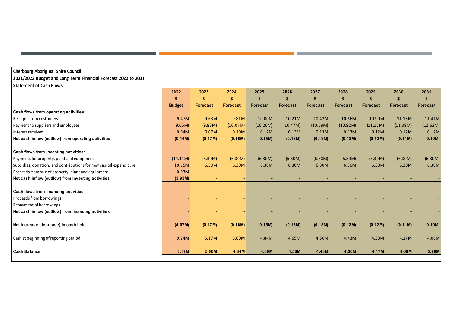#### **Cherbourg Aboriginal Shire Council 2021/2022 Budget and Long Term Financial Forecast 2022 to 2031 Statement of Cash Flows**

|                                                                    | 2022<br>\$    | 2023<br>\$      | 2024<br>S       | 2025            | 2026            | 2027<br>\$      | 2028            | 2029            | 2030<br>S       | 2031<br>S       |
|--------------------------------------------------------------------|---------------|-----------------|-----------------|-----------------|-----------------|-----------------|-----------------|-----------------|-----------------|-----------------|
|                                                                    | <b>Budget</b> | <b>Forecast</b> | <b>Forecast</b> | <b>Forecast</b> | <b>Forecast</b> | <b>Forecast</b> | <b>Forecast</b> | <b>Forecast</b> | <b>Forecast</b> | <b>Forecast</b> |
| Cash flows from operating activities:                              |               |                 |                 |                 |                 |                 |                 |                 |                 |                 |
| Receipts from customers                                            | 9.47M         | 9.63M           | 9.81M           | 10.00M          | 10.21M          | 10.42M          | 10.66M          | 10.90M          | 11.15M          | 11.41M          |
| Payment to suppliers and employees                                 | (9.65M)       | (9.88M)         | (10.07M)        | (10.26M)        | (10.47M)        | (10.69M)        | (10.92M)        | (11.15M)        | (11.39M)        | (11.63M)        |
| Interest received                                                  | 0.04M         | 0.07M           | 0.10M           | 0.12M           | 0.13M           | 0.13M           | 0.13M           | 0.12M           | 0.12M           | 0.12M           |
| Net cash inflow (outflow) from operating activities                | (0.14M)       | (0.17M)         | (0.16M)         | (0.15M)         | (0.13M)         | (0.13M)         | (0.13M)         | (0.12M)         | (0.11M)         | (0.10M)         |
| Cash flows from investing activities:                              |               |                 |                 |                 |                 |                 |                 |                 |                 |                 |
| Payments for property, plant and equipment                         | (14.11M)      | (6.30M)         | (6.30M)         | (6.30M)         | (6.30M)         | (6.30M)         | (6.30M)         | (6.30M)         | (6.30M)         | (6.30M)         |
| Subsidies, donations and contributions for new capital expenditure | 10.15M        | 6.30M           | 6.30M           | 6.30M           | 6.30M           | 6.30M           | 6.30M           | 6.30M           | 6.30M           | 6.30M           |
| Proceeds from sale of property, plant and equipment                | 0.03M         |                 |                 |                 | $\sim$          | ٠               |                 |                 |                 |                 |
| Net cash inflow (outflow) from investing activities                | (3.93M)       | $\sim$          | ۰               | ٠               | $\sim$          | $\sim$          | $\sim$          | $\blacksquare$  | $\sim$          |                 |
| Cash flows from financing activities                               |               |                 |                 |                 |                 |                 |                 |                 |                 |                 |
| Proceeds from borrowings                                           |               |                 |                 |                 |                 |                 |                 |                 |                 |                 |
| Repayment of borrowings                                            |               |                 |                 |                 | $\sim$          | ٠               |                 |                 |                 |                 |
| Net cash inflow (outflow) from financing activities                | ×.            |                 |                 |                 | ٠               | ٠               | $\sim$          | ٠               |                 |                 |
| Net increase (decrease) in cash held                               | (4.07M)       | (0.17M)         | (0.16M)         | (0.15M)         | (0.13M)         | (0.13M)         | (0.13M)         | (0.12M)         | (0.11M)         | (0.10M)         |
| Cash at beginning of reporting period                              | 9.24M         | 5.17M           | 5.00M           | 4.84M           | 4.69M           | 4.56M           | 4.43M           | 4.30M           | 4.17M           | 4.06M           |
| <b>Cash Balance</b>                                                | 5.17M         | 5.00M           | 4.84M           | 4.69M           | 4.56M           | 4.43M           | 4.30M           | 4.17M           | 4.06M           | 3.96M           |
|                                                                    |               |                 |                 |                 |                 |                 |                 |                 |                 |                 |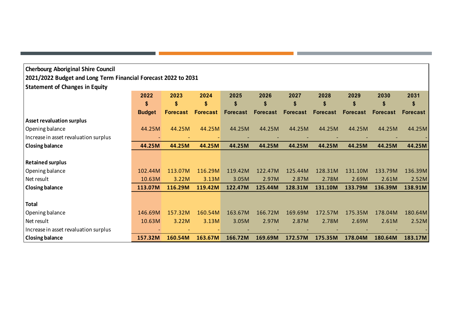| <b>Cherbourg Aboriginal Shire Council</b>                      |               |                 |                 |                 |                 |          |                 |                 |                 |                 |
|----------------------------------------------------------------|---------------|-----------------|-----------------|-----------------|-----------------|----------|-----------------|-----------------|-----------------|-----------------|
| 2021/2022 Budget and Long Term Financial Forecast 2022 to 2031 |               |                 |                 |                 |                 |          |                 |                 |                 |                 |
| <b>Statement of Changes in Equity</b>                          |               |                 |                 |                 |                 |          |                 |                 |                 |                 |
|                                                                | 2022          | 2023            | 2024            | 2025            | 2026            | 2027     | 2028            | 2029            | 2030            | 2031            |
|                                                                | \$            | \$              | \$              | \$              | \$              | \$       | \$              | \$              | \$              | S               |
|                                                                | <b>Budget</b> | <b>Forecast</b> | <b>Forecast</b> | <b>Forecast</b> | <b>Forecast</b> | Forecast | <b>Forecast</b> | <b>Forecast</b> | <b>Forecast</b> | <b>Forecast</b> |
| <b>Asset revaluation surplus</b>                               |               |                 |                 |                 |                 |          |                 |                 |                 |                 |
| Opening balance                                                | 44.25M        | 44.25M          | 44.25M          | 44.25M          | 44.25M          | 44.25M   | 44.25M          | 44.25M          | 44.25M          | 44.25M          |
| Increase in asset revaluation surplus                          |               |                 |                 |                 |                 |          |                 |                 |                 |                 |
| <b>Closing balance</b>                                         | 44.25M        | 44.25M          | 44.25M          | 44.25M          | 44.25M          | 44.25M   | 44.25M          | 44.25M          | 44.25M          | 44.25M          |
|                                                                |               |                 |                 |                 |                 |          |                 |                 |                 |                 |
| <b>Retained surplus</b>                                        |               |                 |                 |                 |                 |          |                 |                 |                 |                 |
| Opening balance                                                | 102.44M       | 113.07M         | 116.29M         | 119.42M         | 122.47M         | 125.44M  | 128.31M         | 131.10M         | 133.79M         | 136.39M         |
| Net result                                                     | 10.63M        | 3.22M           | 3.13M           | 3.05M           | 2.97M           | 2.87M    | 2.78M           | 2.69M           | 2.61M           | 2.52M           |
| <b>Closing balance</b>                                         | 113.07M       | 116.29M         | 119.42M         | 122.47M         | 125.44M         | 128.31M  | 131.10M         | 133.79M         | 136.39M         | 138.91M         |
|                                                                |               |                 |                 |                 |                 |          |                 |                 |                 |                 |
| <b>Total</b>                                                   |               |                 |                 |                 |                 |          |                 |                 |                 |                 |
| Opening balance                                                | 146.69M       | 157.32M         | 160.54M         | 163.67M         | 166.72M         | 169.69M  | 172.57M         | 175.35M         | 178.04M         | 180.64M         |
| Net result                                                     | 10.63M        | 3.22M           | 3.13M           | 3.05M           | 2.97M           | 2.87M    | 2.78M           | 2.69M           | 2.61M           | 2.52M           |
| Increase in asset revaluation surplus                          |               |                 |                 |                 |                 |          |                 |                 |                 |                 |
| <b>Closing balance</b>                                         | 157.32M       | 160.54M         | 163.67M         | 166.72M         | 169.69M         | 172.57M  | 175.35M         | 178.04M         | 180.64M         | 183.17M         |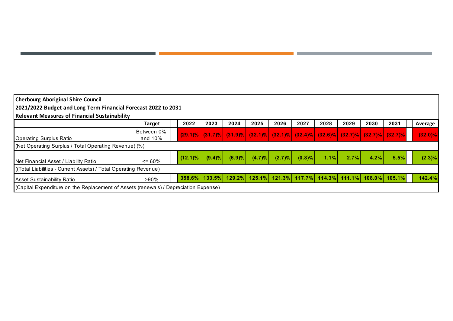| <b>Cherbourg Aboriginal Shire Council</b>                                                                                   |                          |            |           |        |           |            |            |      |      |                                                                                                               |      |            |
|-----------------------------------------------------------------------------------------------------------------------------|--------------------------|------------|-----------|--------|-----------|------------|------------|------|------|---------------------------------------------------------------------------------------------------------------|------|------------|
| 2021/2022 Budget and Long Term Financial Forecast 2022 to 2031                                                              |                          |            |           |        |           |            |            |      |      |                                                                                                               |      |            |
| <b>Relevant Measures of Financial Sustainability</b>                                                                        |                          |            |           |        |           |            |            |      |      |                                                                                                               |      |            |
|                                                                                                                             | Target                   | 2022       | 2023      | 2024   | 2025      | 2026       | 2027       | 2028 | 2029 | 2030                                                                                                          | 2031 | Average    |
| Operating Surplus Ratio                                                                                                     | Between 0%<br>and $10\%$ |            |           |        |           |            |            |      |      | $(32.1)\%$ $(31.7)\%$ $(31.9)\%$ $(32.1)\%$ $(32.1)\%$ $(32.4)\%$ $(32.6)\%$ $(32.7)\%$ $(32.7)\%$ $(32.7)\%$ |      | $(32.0)\%$ |
| (Net Operating Surplus / Total Operating Revenue) (%)                                                                       |                          |            |           |        |           |            |            |      |      |                                                                                                               |      |            |
| Net Financial Asset / Liability Ratio                                                                                       | $\leq 60\%$              | $(12.1)\%$ | $(9.4)\%$ | (6.9)% | $(4.7)\%$ | $(2.7) \%$ | $(0.8) \%$ | 1.1% | 2.7% | 4.2%                                                                                                          | 5.5% | $(2.3)\%$  |
| ((Total Liabilities - Current Assets) / Total Operating Revenue)                                                            |                          |            |           |        |           |            |            |      |      |                                                                                                               |      |            |
| $358.6\%$ 133.5% 129.2% 125.1% 121.3% 117.7% 114.3% 111.1% 108.0% 105.1%<br>142.4%<br>$>90\%$<br>Asset Sustainability Ratio |                          |            |           |        |           |            |            |      |      |                                                                                                               |      |            |
| (Capital Expenditure on the Replacement of Assets (renewals) / Depreciation Expense)                                        |                          |            |           |        |           |            |            |      |      |                                                                                                               |      |            |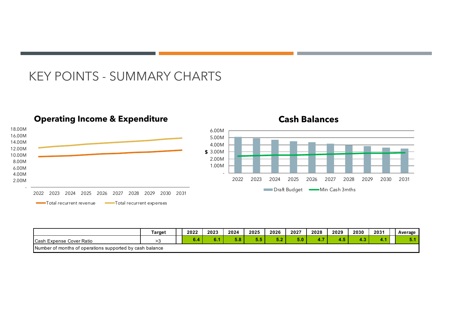### KEY POINTS - SUMMARY CHARTS



|                                                          | Target | 2022 | 2023 | 2024 | 2025 | 2026 | 2027 | 2028 | 2029 | 2030    | 2031  | Average        |
|----------------------------------------------------------|--------|------|------|------|------|------|------|------|------|---------|-------|----------------|
| <b>Cash</b><br>ı Expense Cover Ratio                     |        |      |      | ว.o  | ິ    | . .  | 5.0. |      | . .  | --<br>. | —4 в. | <b>Service</b> |
| Number of months of operations supported by cash balance |        |      |      |      |      |      |      |      |      |         |       |                |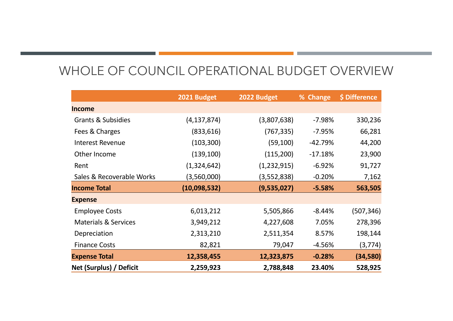# WHOLE OF COUNCIL OPERATIONAL BUDGET OVERVIEW

|                                 | 2021 Budget   | 2022 Budget | % Change  | \$ Difference |
|---------------------------------|---------------|-------------|-----------|---------------|
| <b>Income</b>                   |               |             |           |               |
| <b>Grants &amp; Subsidies</b>   | (4, 137, 874) | (3,807,638) | $-7.98%$  | 330,236       |
| Fees & Charges                  | (833, 616)    | (767, 335)  | $-7.95%$  | 66,281        |
| <b>Interest Revenue</b>         | (103, 300)    | (59,100)    | $-42.79%$ | 44,200        |
| Other Income                    | (139, 100)    | (115, 200)  | $-17.18%$ | 23,900        |
| Rent                            | (1,324,642)   | (1,232,915) | $-6.92%$  | 91,727        |
| Sales & Recoverable Works       | (3,560,000)   | (3,552,838) | $-0.20%$  | 7,162         |
| <b>Income Total</b>             | (10,098,532)  | (9,535,027) | $-5.58%$  | 563,505       |
| <b>Expense</b>                  |               |             |           |               |
| <b>Employee Costs</b>           | 6,013,212     | 5,505,866   | $-8.44%$  | (507,346)     |
| <b>Materials &amp; Services</b> | 3,949,212     | 4,227,608   | 7.05%     | 278,396       |
| Depreciation                    | 2,313,210     | 2,511,354   | 8.57%     | 198,144       |
| <b>Finance Costs</b>            | 82,821        | 79,047      | $-4.56%$  | (3, 774)      |
| <b>Expense Total</b>            | 12,358,455    | 12,323,875  | $-0.28%$  | (34, 580)     |
| Net (Surplus) / Deficit         | 2,259,923     | 2,788,848   | 23.40%    | 528,925       |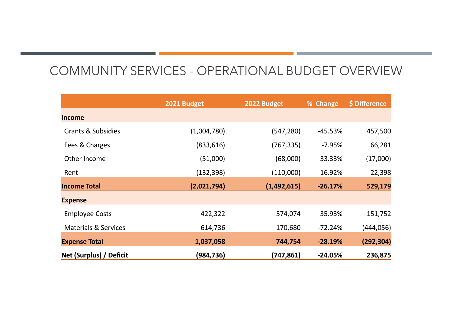# COMMUNITY SERVICES - OPERATIONAL BUDGET OVERVIEW

|                                 | 2021 Budget | 2022 Budget | % Change  | \$ Difference |
|---------------------------------|-------------|-------------|-----------|---------------|
| <b>Income</b>                   |             |             |           |               |
| <b>Grants &amp; Subsidies</b>   | (1,004,780) | (547, 280)  | $-45.53%$ | 457,500       |
| Fees & Charges                  | (833, 616)  | (767,335)   | $-7.95%$  | 66,281        |
| Other Income                    | (51,000)    | (68,000)    | 33.33%    | (17,000)      |
| Rent                            | (132, 398)  | (110,000)   | $-16.92%$ | 22,398        |
| <b>Income Total</b>             | (2,021,794) | (1,492,615) | $-26.17%$ | 529,179       |
| <b>Expense</b>                  |             |             |           |               |
| <b>Employee Costs</b>           | 422,322     | 574,074     | 35.93%    | 151,752       |
| <b>Materials &amp; Services</b> | 614,736     | 170,680     | $-72.24%$ | (444, 056)    |
| <b>Expense Total</b>            | 1,037,058   | 744,754     | $-28.19%$ | (292, 304)    |
| Net (Surplus) / Deficit         | (984, 736)  | (747, 861)  | $-24.05%$ | 236,875       |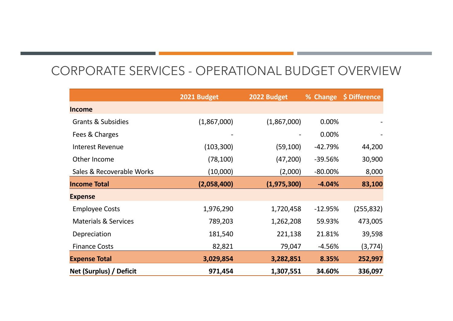# CORPORATE SERVICES - OPERATIONAL BUDGET OVERVIEW

|                                 | 2021 Budget | 2022 Budget | % Change   | \$ Difference |
|---------------------------------|-------------|-------------|------------|---------------|
| <b>Income</b>                   |             |             |            |               |
| <b>Grants &amp; Subsidies</b>   | (1,867,000) | (1,867,000) | 0.00%      |               |
| Fees & Charges                  |             |             | 0.00%      |               |
| <b>Interest Revenue</b>         | (103, 300)  | (59, 100)   | $-42.79%$  | 44,200        |
| Other Income                    | (78, 100)   | (47, 200)   | -39.56%    | 30,900        |
| Sales & Recoverable Works       | (10,000)    | (2,000)     | $-80.00\%$ | 8,000         |
| <b>Income Total</b>             | (2,058,400) | (1,975,300) | $-4.04%$   | 83,100        |
| <b>Expense</b>                  |             |             |            |               |
| <b>Employee Costs</b>           | 1,976,290   | 1,720,458   | $-12.95%$  | (255,832)     |
| <b>Materials &amp; Services</b> | 789,203     | 1,262,208   | 59.93%     | 473,005       |
| Depreciation                    | 181,540     | 221,138     | 21.81%     | 39,598        |
| <b>Finance Costs</b>            | 82,821      | 79,047      | $-4.56%$   | (3,774)       |
| <b>Expense Total</b>            | 3,029,854   | 3,282,851   | 8.35%      | 252,997       |
| Net (Surplus) / Deficit         | 971,454     | 1,307,551   | 34.60%     | 336,097       |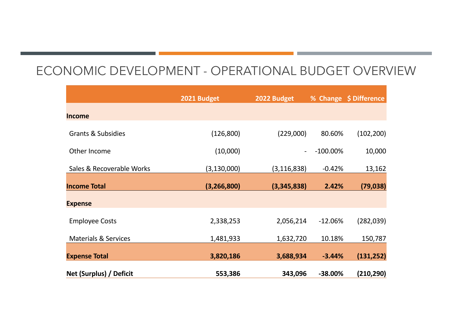### ECONOMIC DEVELOPMENT - OPERATIONAL BUDGET OVERVIEW

|                                 | 2021 Budget   | 2022 Budget              |             | % Change \$ Difference |
|---------------------------------|---------------|--------------------------|-------------|------------------------|
| <b>Income</b>                   |               |                          |             |                        |
| <b>Grants &amp; Subsidies</b>   | (126, 800)    | (229,000)                | 80.60%      | (102, 200)             |
| Other Income                    | (10,000)      | $\overline{\phantom{a}}$ | $-100.00\%$ | 10,000                 |
| Sales & Recoverable Works       | (3, 130, 000) | (3, 116, 838)            | $-0.42%$    | 13,162                 |
| <b>Income Total</b>             | (3, 266, 800) | (3,345,838)              | 2.42%       | (79, 038)              |
| <b>Expense</b>                  |               |                          |             |                        |
| <b>Employee Costs</b>           | 2,338,253     | 2,056,214                | $-12.06%$   | (282,039)              |
| <b>Materials &amp; Services</b> | 1,481,933     | 1,632,720                | 10.18%      | 150,787                |
| <b>Expense Total</b>            | 3,820,186     | 3,688,934                | $-3.44%$    | (131, 252)             |
| Net (Surplus) / Deficit         | 553,386       | 343,096                  | $-38.00%$   | (210, 290)             |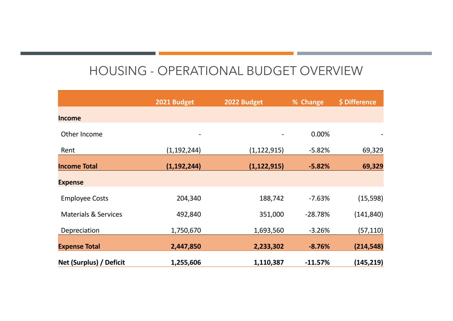# HOUSING - OPERATIONAL BUDGET OVERVIEW

|                                 | 2021 Budget              | 2022 Budget              | % Change  | \$ Difference |
|---------------------------------|--------------------------|--------------------------|-----------|---------------|
| <b>Income</b>                   |                          |                          |           |               |
| Other Income                    | $\overline{\phantom{a}}$ | $\overline{\phantom{a}}$ | 0.00%     |               |
| Rent                            | (1, 192, 244)            | (1, 122, 915)            | $-5.82%$  | 69,329        |
| <b>Income Total</b>             | (1, 192, 244)            | (1, 122, 915)            | $-5.82%$  | 69,329        |
| <b>Expense</b>                  |                          |                          |           |               |
| <b>Employee Costs</b>           | 204,340                  | 188,742                  | $-7.63%$  | (15, 598)     |
| <b>Materials &amp; Services</b> | 492,840                  | 351,000                  | $-28.78%$ | (141, 840)    |
| Depreciation                    | 1,750,670                | 1,693,560                | $-3.26%$  | (57, 110)     |
| <b>Expense Total</b>            | 2,447,850                | 2,233,302                | $-8.76%$  | (214, 548)    |
| Net (Surplus) / Deficit         | 1,255,606                | 1,110,387                | $-11.57%$ | (145, 219)    |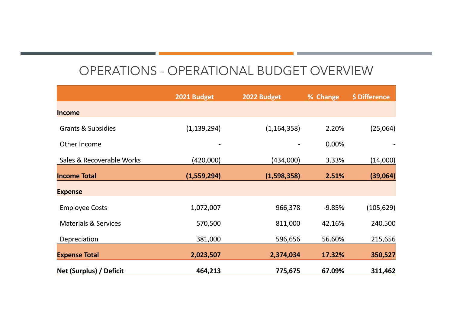# OPERATIONS - OPERATIONAL BUDGET OVERVIEW

|                                 |               | 2022 Budget   |          | \$ Difference |
|---------------------------------|---------------|---------------|----------|---------------|
|                                 | 2021 Budget   |               | % Change |               |
| <b>Income</b>                   |               |               |          |               |
| <b>Grants &amp; Subsidies</b>   | (1, 139, 294) | (1, 164, 358) | 2.20%    | (25,064)      |
| Other Income                    |               |               | 0.00%    |               |
| Sales & Recoverable Works       | (420,000)     | (434,000)     | 3.33%    | (14,000)      |
| <b>Income Total</b>             | (1,559,294)   | (1,598,358)   | 2.51%    | (39,064)      |
| <b>Expense</b>                  |               |               |          |               |
| <b>Employee Costs</b>           | 1,072,007     | 966,378       | $-9.85%$ | (105, 629)    |
| <b>Materials &amp; Services</b> | 570,500       | 811,000       | 42.16%   | 240,500       |
| Depreciation                    | 381,000       | 596,656       | 56.60%   | 215,656       |
| <b>Expense Total</b>            | 2,023,507     | 2,374,034     | 17.32%   | 350,527       |
| Net (Surplus) / Deficit         | 464,213       | 775,675       | 67.09%   | 311,462       |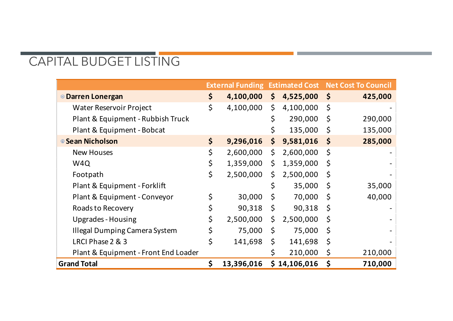# CAPITAL BUDGET LISTING

|                                      |                  |              |              |              | <b>External Funding Estimated Cost Net Cost To Council</b> |
|--------------------------------------|------------------|--------------|--------------|--------------|------------------------------------------------------------|
| <sup>o</sup> Darren Lonergan         | \$<br>4,100,000  | $\mathsf{S}$ | 4,525,000    | $\zeta$      | 425,000                                                    |
| Water Reservoir Project              | \$<br>4,100,000  | \$           | 4,100,000    | \$           |                                                            |
| Plant & Equipment - Rubbish Truck    |                  | \$           | 290,000      | $\zeta$      | 290,000                                                    |
| Plant & Equipment - Bobcat           |                  |              | 135,000      | $\varsigma$  | 135,000                                                    |
| ■ Sean Nicholson                     | \$<br>9,296,016  | \$           | 9,581,016    | $\mathsf{S}$ | 285,000                                                    |
| <b>New Houses</b>                    | \$<br>2,600,000  | $\mathsf{S}$ | 2,600,000    | \$           |                                                            |
| W <sub>4Q</sub>                      | \$<br>1,359,000  | $\varsigma$  | 1,359,000    | $\zeta$      |                                                            |
| Footpath                             | \$<br>2,500,000  | \$           | 2,500,000    | $\zeta$      |                                                            |
| Plant & Equipment - Forklift         |                  | \$           | 35,000       | \$           | 35,000                                                     |
| Plant & Equipment - Conveyor         | \$<br>30,000     | \$           | 70,000       | $\zeta$      | 40,000                                                     |
| Roads to Recovery                    | \$<br>90,318     | $\zeta$      | 90,318       | $\zeta$      |                                                            |
| <b>Upgrades - Housing</b>            | \$<br>2,500,000  | \$           | 2,500,000    | $\zeta$      |                                                            |
| <b>Illegal Dumping Camera System</b> | \$<br>75,000     | \$           | 75,000       | \$           |                                                            |
| LRCI Phase 2 & 3                     | \$<br>141,698    | \$           | 141,698      | $\zeta$      |                                                            |
| Plant & Equipment - Front End Loader |                  |              | 210,000      | \$           | 210,000                                                    |
| <b>Grand Total</b>                   | \$<br>13,396,016 |              | \$14,106,016 | \$           | 710,000                                                    |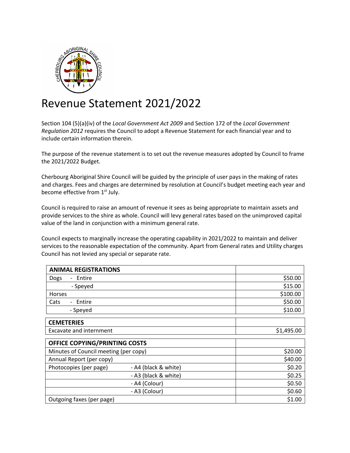

### Revenue Statement 2021/2022

Section 104 (5)(a)(iv) of the *Local Government Act 2009* and Section 172 of the *Local Government Regulation 2012* requires the Council to adopt a Revenue Statement for each financial year and to include certain information therein.

The purpose of the revenue statement is to set out the revenue measures adopted by Council to frame the 2021/2022 Budget.

Cherbourg Aboriginal Shire Council will be guided by the principle of user pays in the making of rates and charges. Fees and charges are determined by resolution at Council's budget meeting each year and become effective from 1<sup>st</sup> July.

Council is required to raise an amount of revenue it sees as being appropriate to maintain assets and provide services to the shire as whole. Council will levy general rates based on the unimproved capital value of the land in conjunction with a minimum general rate.

Council expects to marginally increase the operating capability in 2021/2022 to maintain and deliver services to the reasonable expectation of the community. Apart from General rates and Utility charges Council has not levied any special or separate rate.

| <b>ANIMAL REGISTRATIONS</b>                |                      |            |
|--------------------------------------------|----------------------|------------|
| Entire<br>Dogs                             |                      | \$50.00    |
| - Speyed                                   |                      | \$15.00    |
| <b>Horses</b>                              |                      | \$100.00   |
| Cats<br>Entire<br>$\overline{\phantom{a}}$ |                      | \$50.00    |
| - Speyed                                   |                      | \$10.00    |
| <b>CEMETERIES</b>                          |                      |            |
| <b>Excavate and internment</b>             |                      | \$1,495.00 |
| OFFICE COPYING/PRINTING COSTS              |                      |            |
| Minutes of Council meeting (per copy)      |                      | \$20.00    |
| Annual Report (per copy)                   |                      | \$40.00    |
| Photocopies (per page)                     | - A4 (black & white) | \$0.20     |
|                                            | - A3 (black & white) | \$0.25     |
|                                            | - A4 (Colour)        | \$0.50     |
|                                            | - A3 (Colour)        | \$0.60     |
| Outgoing faxes (per page)                  |                      | \$1.00     |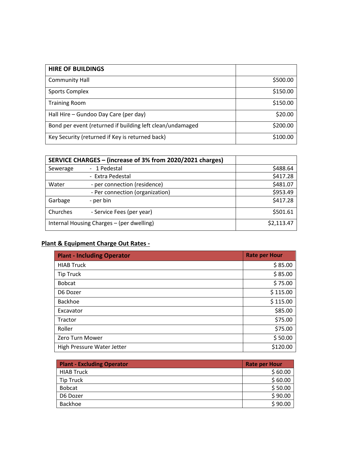| <b>HIRE OF BUILDINGS</b>                                  |          |
|-----------------------------------------------------------|----------|
| <b>Community Hall</b>                                     | \$500.00 |
| <b>Sports Complex</b>                                     | \$150.00 |
| <b>Training Room</b>                                      | \$150.00 |
| Hall Hire – Gundoo Day Care (per day)                     | \$20.00  |
| Bond per event (returned if building left clean/undamaged | \$200.00 |
| Key Security (returned if Key is returned back)           | \$100.00 |

|                                           | SERVICE CHARGES - (increase of 3% from 2020/2021 charges) |          |  |  |
|-------------------------------------------|-----------------------------------------------------------|----------|--|--|
| Sewerage                                  | - 1 Pedestal                                              | \$488.64 |  |  |
|                                           | - Extra Pedestal                                          | \$417.28 |  |  |
| Water                                     | - per connection (residence)                              | \$481.07 |  |  |
|                                           | - Per connection (organization)                           | \$953.49 |  |  |
| Garbage                                   | - per bin                                                 | \$417.28 |  |  |
| Churches                                  | - Service Fees (per year)                                 | \$501.61 |  |  |
| Internal Housing Charges - (per dwelling) | \$2,113.47                                                |          |  |  |

#### **Plant & Equipment Charge Out Rates -**

| <b>Plant - Including Operator</b> | <b>Rate per Hour</b> |
|-----------------------------------|----------------------|
| <b>HIAB Truck</b>                 | \$85.00              |
| <b>Tip Truck</b>                  | \$85.00              |
| <b>Bobcat</b>                     | \$75.00              |
| D6 Dozer                          | \$115.00             |
| <b>Backhoe</b>                    | \$115.00             |
| Excavator                         | \$85.00              |
| Tractor                           | \$75.00              |
| Roller                            | \$75.00              |
| Zero Turn Mower                   | \$50.00              |
| High Pressure Water Jetter        | \$120.00             |

| <b>Plant - Excluding Operator</b> | <b>Rate per Hour</b> |
|-----------------------------------|----------------------|
| <b>HIAB Truck</b>                 | \$60.00              |
| <b>Tip Truck</b>                  | \$60.00              |
| <b>Bobcat</b>                     | \$50.00              |
| D6 Dozer                          | \$90.00              |
| Backhoe                           | \$90.00              |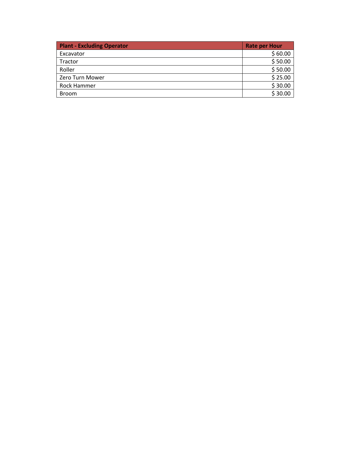| <b>Plant - Excluding Operator</b> | <b>Rate per Hour</b> |
|-----------------------------------|----------------------|
| Excavator                         | \$60.00              |
| Tractor                           | \$50.00              |
| Roller                            | \$50.00              |
| Zero Turn Mower                   | \$25.00              |
| Rock Hammer                       | \$30.00              |
| <b>Broom</b>                      | \$30.00              |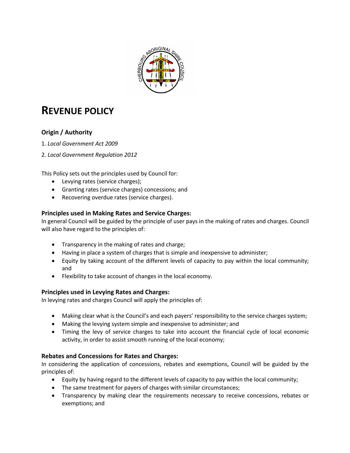

### **REVENUE POLICY**

#### **Origin / Authority**

- 1. *Local Government Act 2009*
- 2. *Local Government Regulation 2012*

This Policy sets out the principles used by Council for:

- Levying rates (service charges);
- Granting rates (service charges) concessions; and
- Recovering overdue rates (service charges).

#### **Principles used in Making Rates and Service Charges:**

In general Council will be guided by the principle of user pays in the making of rates and charges. Council will also have regard to the principles of:

- Transparency in the making of rates and charge;
- Having in place a system of charges that is simple and inexpensive to administer;
- Equity by taking account of the different levels of capacity to pay within the local community; and
- Flexibility to take account of changes in the local economy.

#### **Principles used in Levying Rates and Charges:**

In levying rates and charges Council will apply the principles of:

- Making clear what is the Council's and each payers' responsibility to the service charges system;
- Making the levying system simple and inexpensive to administer; and
- Timing the levy of service charges to take into account the financial cycle of local economic activity, in order to assist smooth running of the local economy;

#### **Rebates and Concessions for Rates and Charges:**

In considering the application of concessions, rebates and exemptions, Council will be guided by the principles of:

- Equity by having regard to the different levels of capacity to pay within the local community;
- The same treatment for payers of charges with similar circumstances;
- Transparency by making clear the requirements necessary to receive concessions, rebates or exemptions; and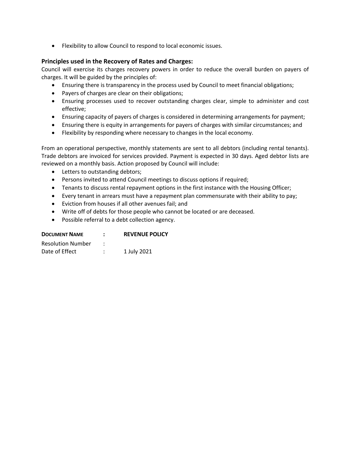• Flexibility to allow Council to respond to local economic issues.

#### **Principles used in the Recovery of Rates and Charges:**

Council will exercise its charges recovery powers in order to reduce the overall burden on payers of charges. It will be guided by the principles of:

- Ensuring there is transparency in the process used by Council to meet financial obligations;
- Payers of charges are clear on their obligations;
- Ensuring processes used to recover outstanding charges clear, simple to administer and cost effective;
- Ensuring capacity of payers of charges is considered in determining arrangements for payment;
- Ensuring there is equity in arrangements for payers of charges with similar circumstances; and
- Flexibility by responding where necessary to changes in the local economy.

From an operational perspective, monthly statements are sent to all debtors (including rental tenants). Trade debtors are invoiced for services provided. Payment is expected in 30 days. Aged debtor lists are reviewed on a monthly basis. Action proposed by Council will include:

- Letters to outstanding debtors;
- Persons invited to attend Council meetings to discuss options if required;
- Tenants to discuss rental repayment options in the first instance with the Housing Officer;
- Every tenant in arrears must have a repayment plan commensurate with their ability to pay;
- Eviction from houses if all other avenues fail; and
- Write off of debts for those people who cannot be located or are deceased.
- Possible referral to a debt collection agency.

| <b>DOCUMENT NAME</b>     | <b>REVENUE POLICY</b> |
|--------------------------|-----------------------|
| <b>Resolution Number</b> |                       |
| Date of Effect           | 1 July 2021           |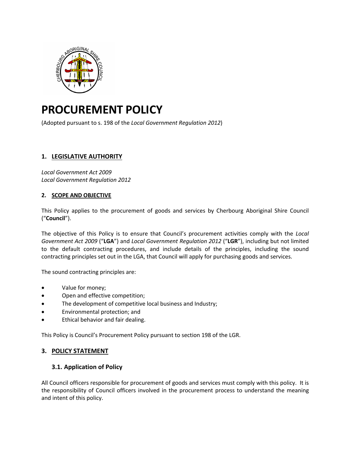

### **PROCUREMENT POLICY**

(Adopted pursuant to s. 198 of the *Local Government Regulation 2012*)

#### **1. LEGISLATIVE AUTHORITY**

*Local Government Act 2009 Local Government Regulation 2012*

#### **2. SCOPE AND OBJECTIVE**

This Policy applies to the procurement of goods and services by Cherbourg Aboriginal Shire Council ("**Council**").

The objective of this Policy is to ensure that Council's procurement activities comply with the *Local Government Act 2009* ("**LGA**") and *Local Government Regulation 2012* ("**LGR**"), including but not limited to the default contracting procedures, and include details of the principles, including the sound contracting principles set out in the LGA, that Council will apply for purchasing goods and services.

The sound contracting principles are:

- Value for money;
- Open and effective competition;
- The development of competitive local business and Industry;
- Environmental protection; and
- Ethical behavior and fair dealing.

This Policy is Council's Procurement Policy pursuant to section 198 of the LGR.

#### **3. POLICY STATEMENT**

#### **3.1. Application of Policy**

All Council officers responsible for procurement of goods and services must comply with this policy. It is the responsibility of Council officers involved in the procurement process to understand the meaning and intent of this policy.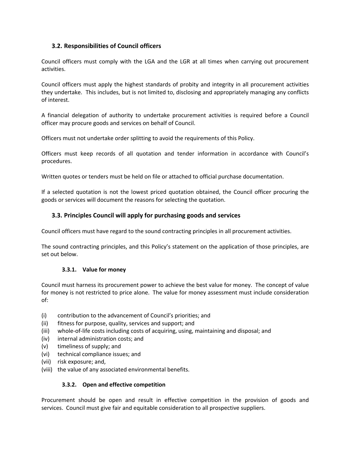#### **3.2. Responsibilities of Council officers**

Council officers must comply with the LGA and the LGR at all times when carrying out procurement activities.

Council officers must apply the highest standards of probity and integrity in all procurement activities they undertake. This includes, but is not limited to, disclosing and appropriately managing any conflicts of interest.

A financial delegation of authority to undertake procurement activities is required before a Council officer may procure goods and services on behalf of Council.

Officers must not undertake order splitting to avoid the requirements of this Policy.

Officers must keep records of all quotation and tender information in accordance with Council's procedures.

Written quotes or tenders must be held on file or attached to official purchase documentation.

If a selected quotation is not the lowest priced quotation obtained, the Council officer procuring the goods or services will document the reasons for selecting the quotation.

#### **3.3. Principles Council will apply for purchasing goods and services**

Council officers must have regard to the sound contracting principles in all procurement activities.

The sound contracting principles, and this Policy's statement on the application of those principles, are set out below.

#### **3.3.1. Value for money**

Council must harness its procurement power to achieve the best value for money. The concept of value for money is not restricted to price alone. The value for money assessment must include consideration of:

- (i) contribution to the advancement of Council's priorities; and
- (ii) fitness for purpose, quality, services and support; and
- (iii) whole-of-life costs including costs of acquiring, using, maintaining and disposal; and
- (iv) internal administration costs; and
- (v) timeliness of supply; and
- (vi) technical compliance issues; and
- (vii) risk exposure; and,
- (viii) the value of any associated environmental benefits.

#### **3.3.2. Open and effective competition**

Procurement should be open and result in effective competition in the provision of goods and services. Council must give fair and equitable consideration to all prospective suppliers.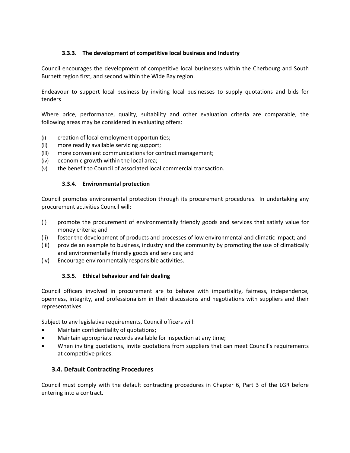#### **3.3.3. The development of competitive local business and Industry**

Council encourages the development of competitive local businesses within the Cherbourg and South Burnett region first, and second within the Wide Bay region.

Endeavour to support local business by inviting local businesses to supply quotations and bids for tenders

Where price, performance, quality, suitability and other evaluation criteria are comparable, the following areas may be considered in evaluating offers:

- (i) creation of local employment opportunities;
- (ii) more readily available servicing support;
- (iii) more convenient communications for contract management;
- (iv) economic growth within the local area;
- (v) the benefit to Council of associated local commercial transaction.

#### **3.3.4. Environmental protection**

Council promotes environmental protection through its procurement procedures. In undertaking any procurement activities Council will:

- (i) promote the procurement of environmentally friendly goods and services that satisfy value for money criteria; and
- (ii) foster the development of products and processes of low environmental and climatic impact; and
- (iii) provide an example to business, industry and the community by promoting the use of climatically and environmentally friendly goods and services; and
- (iv) Encourage environmentally responsible activities.

#### **3.3.5. Ethical behaviour and fair dealing**

Council officers involved in procurement are to behave with impartiality, fairness, independence, openness, integrity, and professionalism in their discussions and negotiations with suppliers and their representatives.

Subject to any legislative requirements, Council officers will:

- Maintain confidentiality of quotations;
- Maintain appropriate records available for inspection at any time;
- When inviting quotations, invite quotations from suppliers that can meet Council's requirements at competitive prices.

#### **3.4. Default Contracting Procedures**

Council must comply with the default contracting procedures in Chapter 6, Part 3 of the LGR before entering into a contract.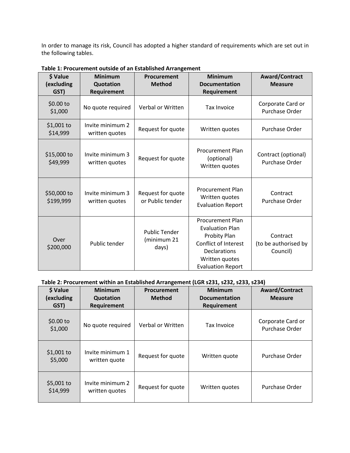In order to manage its risk, Council has adopted a higher standard of requirements which are set out in the following tables.

| \$ Value<br>(excluding<br>GST) | <b>Minimum</b><br>Quotation<br>Requirement | Procurement<br><b>Method</b>                 | <b>Minimum</b><br><b>Documentation</b><br>Requirement                                                                                                          | <b>Award/Contract</b><br><b>Measure</b>      |
|--------------------------------|--------------------------------------------|----------------------------------------------|----------------------------------------------------------------------------------------------------------------------------------------------------------------|----------------------------------------------|
| \$0.00 to<br>\$1,000           | No quote required                          | Verbal or Written                            | <b>Tax Invoice</b>                                                                                                                                             | Corporate Card or<br>Purchase Order          |
| \$1,001 to<br>\$14,999         | Invite minimum 2<br>written quotes         | Request for quote                            | Written quotes                                                                                                                                                 | Purchase Order                               |
| \$15,000 to<br>\$49,999        | Invite minimum 3<br>written quotes         | Request for quote                            | <b>Procurement Plan</b><br>(optional)<br>Written quotes                                                                                                        | Contract (optional)<br><b>Purchase Order</b> |
| \$50,000 to<br>\$199,999       | Invite minimum 3<br>written quotes         | Request for quote<br>or Public tender        | <b>Procurement Plan</b><br>Written quotes<br><b>Evaluation Report</b>                                                                                          | Contract<br>Purchase Order                   |
| Over<br>\$200,000              | Public tender                              | <b>Public Tender</b><br>(minimum 21<br>days) | <b>Procurement Plan</b><br><b>Evaluation Plan</b><br>Probity Plan<br>Conflict of Interest<br><b>Declarations</b><br>Written quotes<br><b>Evaluation Report</b> | Contract<br>(to be authorised by<br>Council) |

**Table 1: Procurement outside of an Established Arrangement**

#### **Table 2: Procurement within an Established Arrangement (LGR s231, s232, s233, s234)**

| \$ Value<br>(excluding<br>GST) | <b>Minimum</b><br>Quotation<br>Requirement | Procurement<br><b>Method</b> | <b>Minimum</b><br><b>Documentation</b><br><b>Requirement</b> | <b>Award/Contract</b><br><b>Measure</b> |
|--------------------------------|--------------------------------------------|------------------------------|--------------------------------------------------------------|-----------------------------------------|
| \$0.00 to<br>\$1,000           | No quote required                          | Verbal or Written            | <b>Tax Invoice</b>                                           | Corporate Card or<br>Purchase Order     |
| $$1,001$ to<br>\$5,000         | Invite minimum 1<br>written quote          | Request for quote            | Written quote                                                | Purchase Order                          |
| \$5,001 to<br>\$14,999         | Invite minimum 2<br>written quotes         | Request for quote            | Written quotes                                               | Purchase Order                          |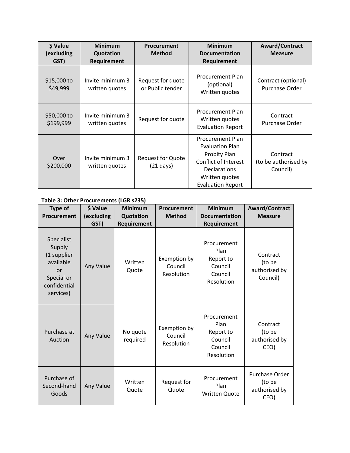| \$ Value<br>(excluding<br>GST) | <b>Minimum</b><br>Quotation<br><b>Requirement</b> | <b>Procurement</b><br><b>Method</b>             | <b>Minimum</b><br><b>Documentation</b><br>Requirement                                                                                                                 | Award/Contract<br><b>Measure</b>             |
|--------------------------------|---------------------------------------------------|-------------------------------------------------|-----------------------------------------------------------------------------------------------------------------------------------------------------------------------|----------------------------------------------|
| \$15,000 to<br>\$49,999        | Invite minimum 3<br>written quotes                | Request for quote<br>or Public tender           | <b>Procurement Plan</b><br>(optional)<br>Written quotes                                                                                                               | Contract (optional)<br>Purchase Order        |
| \$50,000 to<br>\$199,999       | Invite minimum 3<br>written quotes                | Request for quote                               | <b>Procurement Plan</b><br>Written quotes<br><b>Evaluation Report</b>                                                                                                 | Contract<br>Purchase Order                   |
| Over<br>\$200,000              | Invite minimum 3<br>written quotes                | <b>Request for Quote</b><br>$(21 \text{ days})$ | <b>Procurement Plan</b><br><b>Evaluation Plan</b><br><b>Probity Plan</b><br>Conflict of Interest<br><b>Declarations</b><br>Written quotes<br><b>Evaluation Report</b> | Contract<br>(to be authorised by<br>Council) |

#### **Table 3: Other Procurements (LGR s235)**

| <b>Type of</b><br>Procurement                                                                            | \$ Value<br>(excluding<br>GST) | <b>Minimum</b><br>Quotation<br>Requirement | Procurement<br><b>Method</b>          | <b>Minimum</b><br><b>Documentation</b><br>Requirement                | <b>Award/Contract</b><br><b>Measure</b>           |
|----------------------------------------------------------------------------------------------------------|--------------------------------|--------------------------------------------|---------------------------------------|----------------------------------------------------------------------|---------------------------------------------------|
| Specialist<br>Supply<br>(1 supplier<br>available<br><b>or</b><br>Special or<br>confidential<br>services) | Any Value                      | Written<br>Quote                           | Exemption by<br>Council<br>Resolution | Procurement<br>Plan<br>Report to<br>Council<br>Council<br>Resolution | Contract<br>(to be<br>authorised by<br>Council)   |
| Purchase at<br>Auction                                                                                   | Any Value                      | No quote<br>required                       | Exemption by<br>Council<br>Resolution | Procurement<br>Plan<br>Report to<br>Council<br>Council<br>Resolution | Contract<br>(to be<br>authorised by<br>CEO)       |
| Purchase of<br>Second-hand<br>Goods                                                                      | Any Value                      | Written<br>Quote                           | Request for<br>Quote                  | Procurement<br>Plan<br><b>Written Quote</b>                          | Purchase Order<br>(to be<br>authorised by<br>CEO) |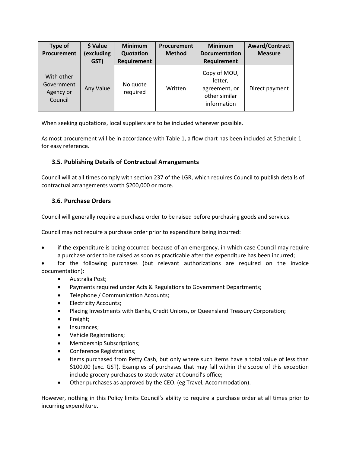| <b>Type of</b><br>Procurement                    | \$ Value<br>(excluding<br>GST) | <b>Minimum</b><br>Quotation<br><b>Requirement</b> | Procurement<br><b>Method</b> | <b>Minimum</b><br><b>Documentation</b><br>Requirement                    | <b>Award/Contract</b><br><b>Measure</b> |
|--------------------------------------------------|--------------------------------|---------------------------------------------------|------------------------------|--------------------------------------------------------------------------|-----------------------------------------|
| With other<br>Government<br>Agency or<br>Council | Any Value                      | No quote<br>required                              | Written                      | Copy of MOU,<br>letter,<br>agreement, or<br>other similar<br>information | Direct payment                          |

When seeking quotations, local suppliers are to be included wherever possible.

As most procurement will be in accordance with Table 1, a flow chart has been included at Schedule 1 for easy reference.

#### **3.5. Publishing Details of Contractual Arrangements**

Council will at all times comply with section 237 of the LGR, which requires Council to publish details of contractual arrangements worth \$200,000 or more.

#### **3.6. Purchase Orders**

Council will generally require a purchase order to be raised before purchasing goods and services.

Council may not require a purchase order prior to expenditure being incurred:

• if the expenditure is being occurred because of an emergency, in which case Council may require a purchase order to be raised as soon as practicable after the expenditure has been incurred;

• for the following purchases (but relevant authorizations are required on the invoice documentation):

- Australia Post;
- Payments required under Acts & Regulations to Government Departments;
- Telephone / Communication Accounts;
- Electricity Accounts;
- Placing Investments with Banks, Credit Unions, or Queensland Treasury Corporation;
- Freight;
- Insurances;
- Vehicle Registrations;
- Membership Subscriptions;
- Conference Registrations;
- Items purchased from Petty Cash, but only where such items have a total value of less than \$100.00 (exc. GST). Examples of purchases that may fall within the scope of this exception include grocery purchases to stock water at Council's office;
- Other purchases as approved by the CEO. (eg Travel, Accommodation).

However, nothing in this Policy limits Council's ability to require a purchase order at all times prior to incurring expenditure.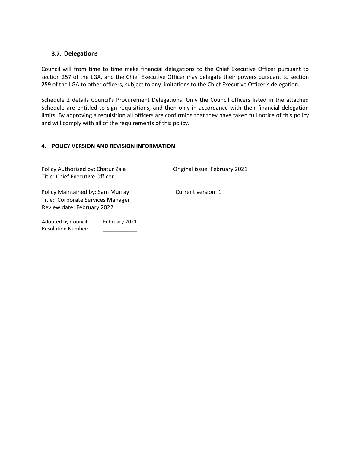#### **3.7. Delegations**

Council will from time to time make financial delegations to the Chief Executive Officer pursuant to section 257 of the LGA, and the Chief Executive Officer may delegate their powers pursuant to section 259 of the LGA to other officers, subject to any limitations to the Chief Executive Officer's delegation.

Schedule 2 details Council's Procurement Delegations. Only the Council officers listed in the attached Schedule are entitled to sign requisitions, and then only in accordance with their financial delegation limits. By approving a requisition all officers are confirming that they have taken full notice of this policy and will comply with all of the requirements of this policy.

#### **4. POLICY VERSION AND REVISION INFORMATION**

| Policy Authorised by: Chatur Zala<br>Title: Chief Executive Officer                                 |               | Original issue: February 2021 |  |  |
|-----------------------------------------------------------------------------------------------------|---------------|-------------------------------|--|--|
| Policy Maintained by: Sam Murray<br>Title: Corporate Services Manager<br>Review date: February 2022 |               | Current version: 1            |  |  |
| Adopted by Council:<br><b>Resolution Number:</b>                                                    | February 2021 |                               |  |  |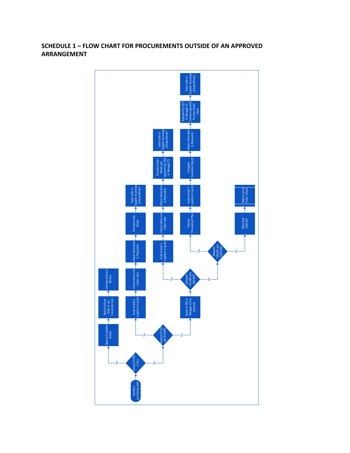#### **SCHEDULE 1 – FLOW CHART FOR PROCUREMENTS OUTSIDE OF AN APPROVED ARRANGEMENT**

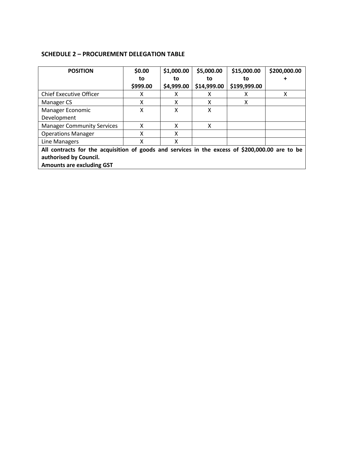#### **SCHEDULE 2 – PROCUREMENT DELEGATION TABLE**

| <b>POSITION</b>                                                                                 | \$0.00   | \$1,000.00 | \$5,000.00  | \$15,000.00  | \$200,000.00 |
|-------------------------------------------------------------------------------------------------|----------|------------|-------------|--------------|--------------|
|                                                                                                 | to       | to         | to          | to           |              |
|                                                                                                 | \$999.00 | \$4,999.00 | \$14,999.00 | \$199,999.00 |              |
| <b>Chief Executive Officer</b>                                                                  | х        | X          | x           | x            | x            |
| Manager CS                                                                                      | χ        | x          | x           | x            |              |
| Manager Economic                                                                                | X        | X          | X           |              |              |
| Development                                                                                     |          |            |             |              |              |
| <b>Manager Community Services</b>                                                               | x        | X          | X           |              |              |
| <b>Operations Manager</b>                                                                       | χ        | X          |             |              |              |
| Line Managers                                                                                   | χ        | X          |             |              |              |
| All contracts for the acquisition of goods and services in the excess of \$200,000.00 are to be |          |            |             |              |              |
| authorised by Council.                                                                          |          |            |             |              |              |
| <b>Amounts are excluding GST</b>                                                                |          |            |             |              |              |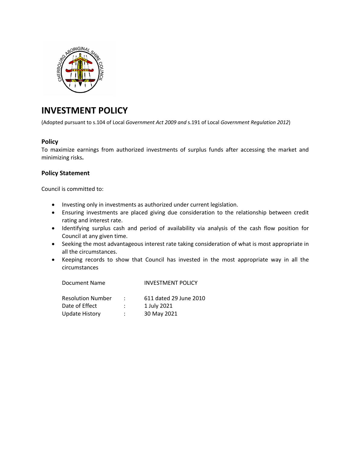

### **INVESTMENT POLICY**

(Adopted pursuant to s.104 of Local *Government Act 2009 and* s.191 of Local *Government Regulation 2012*)

#### **Policy**

To maximize earnings from authorized investments of surplus funds after accessing the market and minimizing risks**.**

#### **Policy Statement**

Council is committed to:

- Investing only in investments as authorized under current legislation.
- Ensuring investments are placed giving due consideration to the relationship between credit rating and interest rate.
- Identifying surplus cash and period of availability via analysis of the cash flow position for Council at any given time.
- Seeking the most advantageous interest rate taking consideration of what is most appropriate in all the circumstances.
- Keeping records to show that Council has invested in the most appropriate way in all the circumstances

| Document Name            | <b>INVESTMENT POLICY</b> |
|--------------------------|--------------------------|
| <b>Resolution Number</b> | 611 dated 29 June 2010   |
| Date of Effect           | 1 July 2021              |
| <b>Update History</b>    | 30 May 2021              |